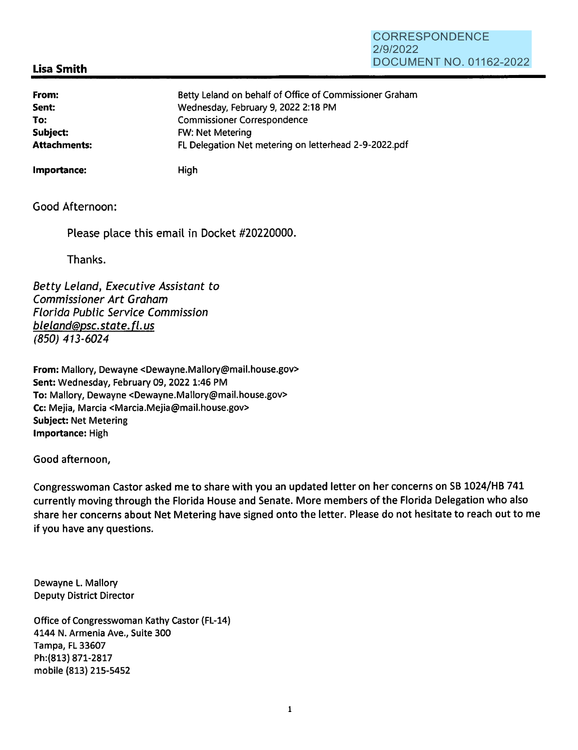### **CORRESPONDENCE** 2/9/2022 DOCUMENT NO. 01162-2022

# **Lisa Smith**

| From:               | Betty Leland on behalf of Office of Commissioner Graham |
|---------------------|---------------------------------------------------------|
| Sent:               | Wednesday, February 9, 2022 2:18 PM                     |
| To:                 | <b>Commissioner Correspondence</b>                      |
| Subject:            | <b>FW: Net Metering</b>                                 |
| <b>Attachments:</b> | FL Delegation Net metering on letterhead 2-9-2022.pdf   |

**Importance:** High

Good Afternoon:

Please place this email in Docket #20220000.

Thanks.

Betty Leland, Executive Assistant to Commissioner Art Graham Florida Public Service Commission bleland@psc.state.fl.us (850) 413-6024

**From:** Mallory, Dewayne <Dewayne.Mallory@mail.house.gov> **Sent:** Wednesday, February 09, 2022 1:46 PM **To:** Mallory, Dewayne <Dewayne.Mallory@mail.house.gov> Cc: Mejia, Marcia <Marcia.Mejia@mail.house.gov> **Subject:** Net Metering **Importance:** High

Good afternoon,

Congresswoman Castor asked me to share with you an updated letter on her concerns on SB 1024/HB 741 currently moving through the Florida House and Senate. More members of the Florida Delegation who also share her concerns about Net Metering have signed onto the letter. Please do not hesitate to reach out to me if you have any questions.

Dewayne L. Mallory Deputy District Director

Office of Congresswoman Kathy Castor (FL-14) 4144 N. Armenia Ave., Suite 300 Tampa, FL 33607 Ph:(813) 871-2817 mobile (813) 215-5452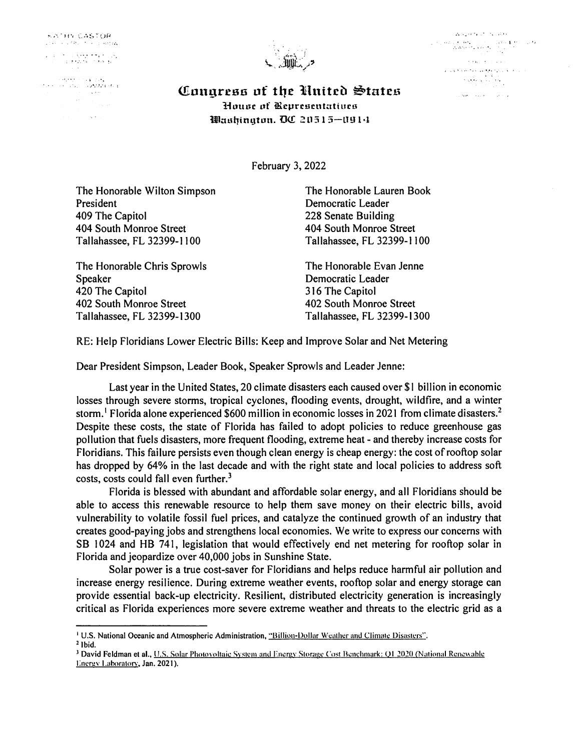**KATHN CASTOR** . .;,::.-...

\. ·.· . -. - ; ~ • \_.' • 1 J . -~ ~.

*·i* , .. , **Carrie Contract** 





• .>"'-." *! • .,,t* ,r, : Q1u11greaa uf tile lilnitci) §tatc1.1 House of Representatives **1.ilmd1ingtun. 00** 2l13 l 5-LHJ **l•-1** 

February 3, 2022

The Honorable Wilton Simpson President 409 The Capitol 404 South Monroe Street Tallahassee, FL 32399-1100

The Honorable Chris Sprowls Speaker 420 The Capitol 402 South Monroe Street Tallahassee, FL 32399-1300

The Honorable Lauren Book Democratic Leader 228 Senate Building 404 South Monroe Street Tallahassee, FL 32399-1100

The Honorable Evan Jenne Democratic Leader 316 The Capitol 402 South Monroe Street Tallahassee, FL 32399-1300

RE: Help Floridians Lower Electric Bills: Keep and Improve Solar and Net Metering

Dear President Simpson, Leader Book, Speaker Sprowls and Leader Jenne:

Last year in the United States, 20 climate disasters each caused over \$1 billion in economic losses through severe storms, tropical cyclones, flooding events, drought, wildfire, and a winter storm.<sup>1</sup> Florida alone experienced \$600 million in economic losses in 2021 from climate disasters.<sup>2</sup> Despite these costs, the state of Florida has failed to adopt policies to reduce greenhouse gas pollution that fuels disasters, more frequent flooding, extreme heat - and thereby increase costs for Floridians. This failure persists even though clean energy is cheap energy: the cost of rooftop solar has dropped by 64% in the last decade and with the right state and local policies to address soft costs, costs could fall even further. $3$ 

Florida is blessed with abundant and affordable solar energy, and all Floridians should be able to access this renewable resource to help them save money on their electric bills, avoid vulnerability to volatile fossil fuel prices, and catalyze the continued growth of an industry that creates good-paying jobs and strengthens local economies. We write to express our concerns with SB 1024 and HB 741, legislation that would effectively end net metering for rooftop solar in Florida and jeopardize over 40,000 jobs in Sunshine State.

Solar power is a true cost-saver for Floridians and helps reduce harmful air pollution and increase energy resilience. During extreme weather events, rooftop solar and energy storage can provide essential back-up electricity. Resilient, distributed electricity generation is increasingly critical as Florida experiences more severe extreme weather and threats to the electric grid as a

<sup>&</sup>lt;sup>1</sup> U.S. National Oceanic and Atmospheric Administration, "Billion-Dollar Weather and Climate Disasters". <sup>2</sup> Ibid.

<sup>&</sup>lt;sup>3</sup> David Feldman et al., U.S. Solar Photovoltaic System and Energy Storage Cost Benchmark: Q1 2020 (National Renewable Energy Laboratory, Jan. 2021).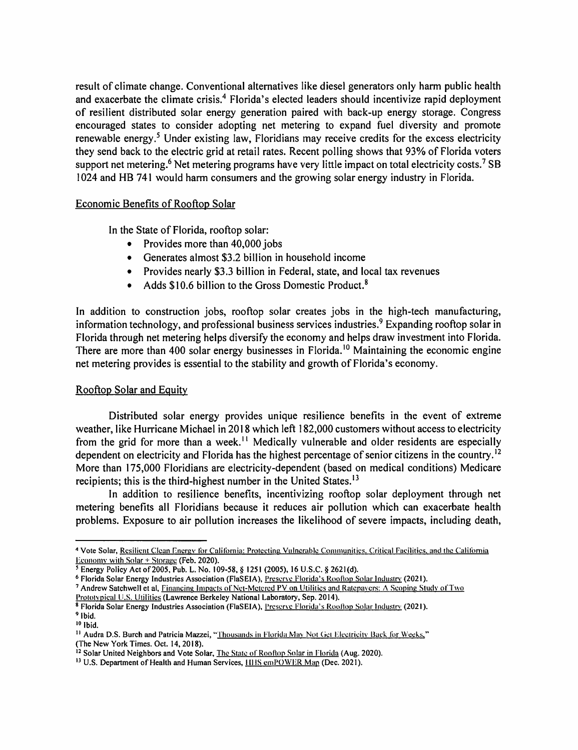result of climate change. Conventional alternatives like diesel generators only harm public health and exacerbate the climate crisis.<sup>4</sup> Florida's elected leaders should incentivize rapid deployment of resilient distributed solar energy generation paired with back-up energy storage. Congress encouraged states to consider adopting net metering to expand fuel diversity and promote renewable energy.<sup>5</sup> Under existing law, Floridians may receive credits for the excess electricity they send back to the electric grid at retail rates. Recent polling shows that 93% of Florida voters support net metering.<sup>6</sup> Net metering programs have very little impact on total electricity costs.<sup>7</sup> SB 1024 and HB 741 would harm consumers and the growing solar energy industry in Florida.

#### Economic Benefits of Rooftop Solar

In the State of Florida, rooftop solar:

- Provides more than 40,000 jobs
- Generates almost \$3.2 billion in household income
- Provides nearly \$3.3 billion in Federal, state, and local tax revenues
- Adds \$10.6 billion to the Gross Domestic Product.<sup>8</sup>

In addition to construction jobs, rooftop solar creates jobs in the high-tech manufacturing, information technology, and professional business services industries.<sup>9</sup> Expanding rooftop solar in Florida through net metering helps diversify the economy and helps draw investment into Florida. There are more than 400 solar energy businesses in Florida.<sup>10</sup> Maintaining the economic engine net metering provides is essential to the stability and growth of Florida's economy.

## Rooftop Solar and Equity

Distributed solar energy provides unique resilience benefits in the event of extreme weather, like Hurricane Michael in 2018 which left 182,000 customers without access to electricity from the grid for more than a week.<sup> $11$ </sup> Medically vulnerable and older residents are especially dependent on electricity and Florida has the highest percentage of senior citizens in the country.<sup>12</sup> More than 175,000 Floridians are electricity-dependent (based on medical conditions) Medicare recipients; this is the third-highest number in the United States.<sup>13</sup>

In addition to resilience benefits, incentivizing rooftop solar deployment through net metering benefits all Floridians because it reduces air pollution which can exacerbate health problems. Exposure to air pollution increases the likelihood of severe impacts, including death,

<sup>&</sup>lt;sup>4</sup> Vote Solar, Resilient Clean Energy for California: Protecting Vulnerable Communities. Critical Facilities, and the California Economy with Solar + Storage (Feb. 2020).

<sup>5</sup> Energy Policy Act of 2005, Pub. L. No. 109-58, § 1251 (2005), 16 U.S.C. § 2621 (d).

<sup>&</sup>lt;sup>6</sup> Florida Solar Energy Industries Association (FlaSEIA), Preserve Florida's Rooftop Solar Industry (2021).

<sup>7</sup> Andrew Satchwell et al, Financing Impacts of Net-Metered PV on Utilities and Ratepavers: A Scoping Study of Two

Prolotvpical U.S. Utilities (Lawrence Berkeley National Laboratory, Sep. 2014).

<sup>8</sup> Florida Solar Energy Industries Association (FlaSEIA), Preserve Florida's Rooftop Solar Industry (2021). <sup>9</sup>**Ibid.** 

<sup>&</sup>lt;sup>11</sup> Audra D.S. Burch and Patricia Mazzei, "Thousands in Florida May Not Get Electricity Back for Weeks," (The New York Times. Oct. 14, 2018).

<sup>&</sup>lt;sup>12</sup> Solar United Neighbors and Vote Solar, The State of Rooftop Solar in Florida (Aug. 2020).

<sup>&</sup>lt;sup>13</sup> U.S. Department of Health and Human Services, HHS emPOWER Map (Dec. 2021).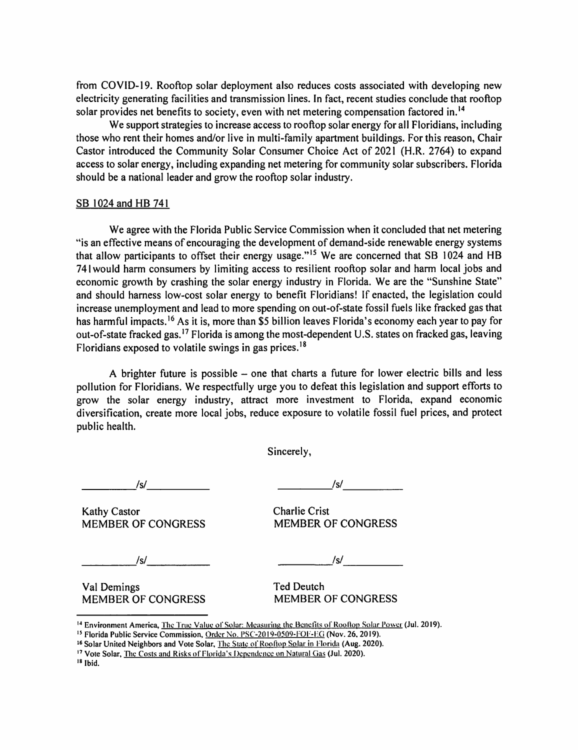from COVID-19. Rooftop solar deployment also reduces costs associated with developing new electricity generating facilities and transmission lines. In fact, recent studies conclude that rooftop solar provides net benefits to society, even with net metering compensation factored in.<sup>14</sup>

We support strategies to increase access to rooftop solar energy for all Floridians, including those who rent their homes and/or live in multi-family apartment buildings. For this reason, Chair Castor introduced the Community Solar Consumer Choice Act of 2021 (H.R. 2764) to expand access to solar energy, including expanding net metering for community solar subscribers. Florida should be a national leader and grow the rooftop solar industry.

#### SB 1024 and HB 741

We agree with the Florida Public Service Commission when it concluded that net metering ~'is an effective means of encouraging the development of demand-side renewable energy systems that allow participants to offset their energy usage."<sup>15</sup> We are concerned that SB 1024 and HB 741 would harm consumers by limiting access to resilient rooftop solar and harm local jobs and economic growth by crashing the solar energy industry in Florida. We are the "Sunshine State" and should harness low-cost solar energy to benefit Floridians! If enacted, the legislation could increase unemployment and lead to more spending on out-of-state fossil fuels like fracked gas that has harmful impacts.<sup>16</sup> As it is, more than \$5 billion leaves Florida's economy each year to pay for out-of-state fracked gas.<sup>17</sup> Florida is among the most-dependent U.S. states on fracked gas, leaving Floridians exposed to volatile swings in gas prices. <sup>18</sup>

A brighter future is possible - one that charts a future for lower electric bills and less pollution for Floridians. We respectfully urge you to defeat this legislation and support efforts to grow the solar energy industry, attract more investment to Florida, expand economic diversification, create more local jobs, reduce exposure to volatile fossil fuel prices, and protect public health.

Sincerely,

*\_\_\_\_\_\_ Isl \_\_\_\_ \_ \_ \_\_ \_\_\_,:Isl* -----

Kathy Castor **Charlie Crist** MEMBER OF CONGRESS MEMBER OF CONGRESS

*\_\_\_\_\_\_ Isl \_\_\_\_ \_ \_\_\_\_ .Isl* -----

Val Demings Ted Deutch MEMBER OF CONGRESS MEMBER OF CONGRESS

<sup>&</sup>lt;sup>14</sup> Environment America, <u>The True Value of Solar: Measuring the Benefits of Rooftop Solar Power</u> (Jul. 2019).<br><sup>15</sup> Florida Public Service Commission, <u>Order No. PSC-2019-0509-FOF-EG</u> (Nov. 26, 2019).

<sup>&</sup>lt;sup>16</sup> Solar United Neighbors and Vote Solar, *The State of Rooftop Solar in Florida* (Aug. 2020).<br><sup>17</sup> Vote Solar, *The Costs and Risks of Florida's Dependence on Natural Gas (Jul. 2020).* 

<sup>18</sup> **Ibid.**